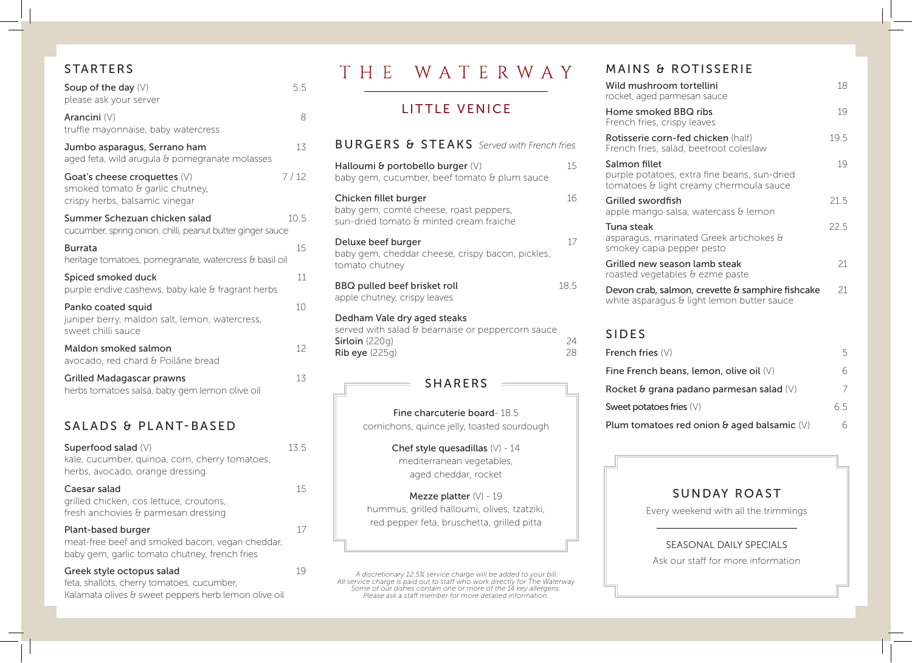## STARTERS

| Soup of the day $(V)$<br>please ask your server                                                     | $5.5^{\circ}$   |
|-----------------------------------------------------------------------------------------------------|-----------------|
| Arancini (V)<br>truffle mayonnaise, baby watercress                                                 | 8               |
| Jumbo asparagus, Serrano ham<br>aged feta, wild arugula & pomegranate molasses                      | 13              |
| Goat's cheese croquettes $(V)$<br>smoked tomato & garlic chutney,<br>crispy herbs, balsamic vinegar | 7/12            |
| Summer Schezuan chicken salad<br>cucumber, spring onion. chilli, peanut butter ginger sauce         | 10.5            |
| <b>Burrata</b><br>heritage tomatoes, pomegranate, watercress & basil oil                            | 15              |
| Spiced smoked duck<br>purple endive cashews, baby kale & fragrant herbs                             | 11              |
| Panko coated squid<br>juniper berry, maldon salt, lemon, watercress,<br>sweet chilli sauce          | 10 <sup>°</sup> |
| Maldon smoked salmon<br>avocado, red chard & Poilâne bread                                          | 12              |
| Grilled Madagascar prawns<br>herbs tomatoes salsa, baby gem lemon olive oil                         | 13              |

#### SALADS & PLANT-BASED

Superfood salad  $(V)$  13.5 kale, cucumber, quinoa, corn, cherry tomatoes, herbs, avocado, orange dressing

Caesar salad 15 grilled chicken, cos lettuce, croutons, fresh anchovies & parmesan dressing

#### Plant-based burger 17 meat-free beef and smoked bacon, vegan cheddar, baby gem, garlic tomato chutney, french fries

Greek style octopus salad 19 feta, shallots, cherry tomatoes, cucumber, Kalamata olives & sweet peppers herb lemon olive oil

# THE WATERWAY

# LITTLE VENICE

| <b>BURGERS &amp; STEAKS</b> Served with French fries                                                                       |          |
|----------------------------------------------------------------------------------------------------------------------------|----------|
| Halloumi & portobello burger $(V)$<br>baby gem, cucumber, beef tomato & plum sauce                                         | 15       |
| Chicken fillet burger<br>baby gem, comté cheese, roast peppers,<br>sun-dried tomato & minted cream fraiche                 | 16       |
| Deluxe beef burger<br>baby gem, cheddar cheese, crispy bacon, pickles,<br>tomato chutney                                   | 17       |
| BBQ pulled beef brisket roll<br>apple chutney, crispy leaves                                                               | 18.5     |
| Dedham Vale dry aged steaks<br>served with salad & béarnaise or peppercorn sauce<br>Sirloin $(220q)$<br>$Rib$ eye $(225q)$ | 24<br>28 |

#### SHARERS

Fine charcuterie board- 18.5 cornichons, quince jelly, toasted sourdough

> Chef style quesadillas (V) - 14 mediterranean vegetables, aged cheddar, rocket

Mezze platter  $(V)$  - 19 hummus, grilled halloumi, olives, tzatziki, red pepper feta, bruschetta, grilled pitta

A discretionary 12.5% service charge will be added to your bill.<br>All service charge is paid out to staff who work directly for The Waterway<br>Some of our dishes contain one or more of the 14 key allergens. *Please ask a staff member for more detailed information.*

# MAINS & ROTISSERIE

| Wild mushroom tortellini<br>rocket, aged parmesan sauce                                                  | 18   |
|----------------------------------------------------------------------------------------------------------|------|
| Home smoked BBQ ribs<br>French fries, crispy leaves                                                      | 19   |
| Rotisserie corn-fed chicken (half)<br>French fries, salad, beetroot coleslaw                             | 19.5 |
| Salmon fillet<br>purple potatoes, extra fine beans, sun-dried<br>tomatoes & light creamy chermoula sauce | 19   |
| Grilled swordfish<br>apple mango salsa, watercass & lemon                                                | 21.5 |
| Tuna steak<br>asparagus, marinated Greek artichokes &<br>smokey capia pepper pesto                       | 22.5 |
| Grilled new season lamb steak<br>roasted vegetables & ezme paste                                         | 21   |
| Devon crab, salmon, crevette & samphire fishcake<br>white asparagus & light lemon butter sauce           | 21.  |

# SIDES

| French fries $(V)$                                   | ∽  |
|------------------------------------------------------|----|
| Fine French beans, lemon, olive oil $(V)$            |    |
| Rocket & grana padano parmesan salad $(V)$           |    |
| Sweet potatoes fries $(V)$                           | 65 |
| Plum tomatoes red onion $\theta$ aged balsamic $(V)$ |    |

#### SUNDAY ROAST

Every weekend with all the trimmings

# SEASONAL DAILY SPECIALS

Ask our staff for more information